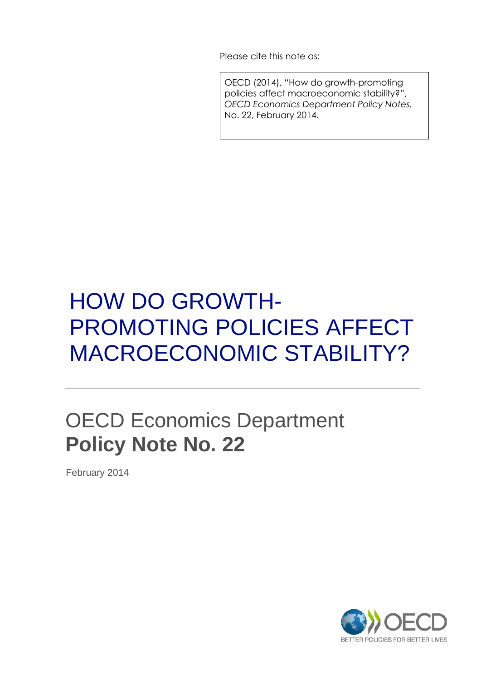Please cite this note as:

OECD (2014), "How do growth-promoting policies affect macroeconomic stability?", *OECD Economics Department Policy Notes,* No. 22, February 2014.

# HOW DO GROWTH-PROMOTING POLICIES AFFECT MACROECONOMIC STABILITY?

## OECD Economics Department **Policy Note No. 22**

February 2014

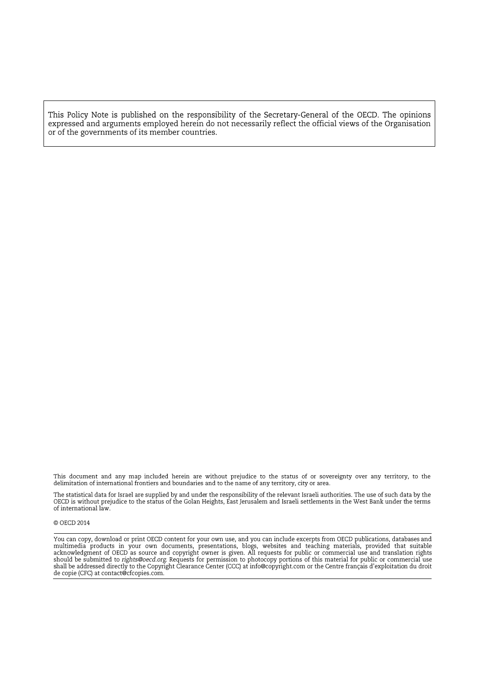This Policy Note is published on the responsibility of the Secretary-General of the OECD. The opinions<br>expressed and arguments employed herein do not necessarily reflect the official views of the Organisation or of the governments of its member countries.

This document and any map included herein are without prejudice to the status of or sovereignty over any territory, to the<br>delimitation of international frontiers and boundaries and to the name of any territory, city or ar

The statistical data for Israel are supplied by and under the responsibility of the relevant Israeli authorities. The use of such data by the OECD is without prejudice to the status of the Golan Heights, East Jerusalem and of international law.

#### © OECD 2014

You can copy, download or print OECD content for your own use, and you can include excerpts from OECD publications, databases and multimedia products in your own documents, presentations, blogs, websites and teaching mater de copie (CFC) at contact@cfcopies.com.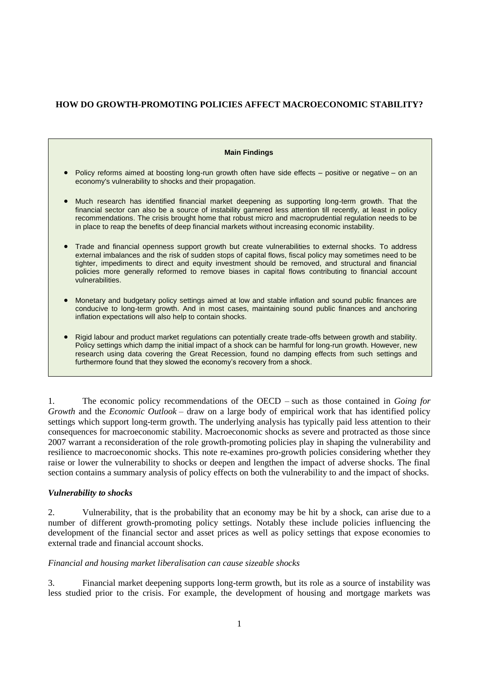#### **HOW DO GROWTH-PROMOTING POLICIES AFFECT MACROECONOMIC STABILITY?**

| <b>Main Findings</b>                                                                                                                                                                                                                                                                                                                                                                                                                                   |
|--------------------------------------------------------------------------------------------------------------------------------------------------------------------------------------------------------------------------------------------------------------------------------------------------------------------------------------------------------------------------------------------------------------------------------------------------------|
| Policy reforms aimed at boosting long-run growth often have side effects – positive or negative – on an<br>economy's vulnerability to shocks and their propagation.                                                                                                                                                                                                                                                                                    |
| Much research has identified financial market deepening as supporting long-term growth. That the<br>financial sector can also be a source of instability garnered less attention till recently, at least in policy<br>recommendations. The crisis brought home that robust micro and macroprudential regulation needs to be<br>in place to reap the benefits of deep financial markets without increasing economic instability.                        |
| Trade and financial openness support growth but create vulnerabilities to external shocks. To address<br>external imbalances and the risk of sudden stops of capital flows, fiscal policy may sometimes need to be<br>tighter, impediments to direct and equity investment should be removed, and structural and financial<br>policies more generally reformed to remove biases in capital flows contributing to financial account<br>vulnerabilities. |
| Monetary and budgetary policy settings aimed at low and stable inflation and sound public finances are<br>conducive to long-term growth. And in most cases, maintaining sound public finances and anchoring<br>inflation expectations will also help to contain shocks.                                                                                                                                                                                |
| Rigid labour and product market regulations can potentially create trade-offs between growth and stability.<br>Policy settings which damp the initial impact of a shock can be harmful for long-run growth. However, new<br>research using data covering the Great Recession, found no damping effects from such settings and<br>furthermore found that they slowed the economy's recovery from a shock.                                               |
|                                                                                                                                                                                                                                                                                                                                                                                                                                                        |

1. The economic policy recommendations of the OECD – such as those contained in *Going for Growth* and the *Economic Outlook* – draw on a large body of empirical work that has identified policy settings which support long-term growth. The underlying analysis has typically paid less attention to their consequences for macroeconomic stability. Macroeconomic shocks as severe and protracted as those since 2007 warrant a reconsideration of the role growth-promoting policies play in shaping the vulnerability and resilience to macroeconomic shocks. This note re-examines pro-growth policies considering whether they raise or lower the vulnerability to shocks or deepen and lengthen the impact of adverse shocks. The final section contains a summary analysis of policy effects on both the vulnerability to and the impact of shocks.

#### *Vulnerability to shocks*

2. Vulnerability, that is the probability that an economy may be hit by a shock, can arise due to a number of different growth-promoting policy settings. Notably these include policies influencing the development of the financial sector and asset prices as well as policy settings that expose economies to external trade and financial account shocks.

#### *Financial and housing market liberalisation can cause sizeable shocks*

3. Financial market deepening supports long-term growth, but its role as a source of instability was less studied prior to the crisis. For example, the development of housing and mortgage markets was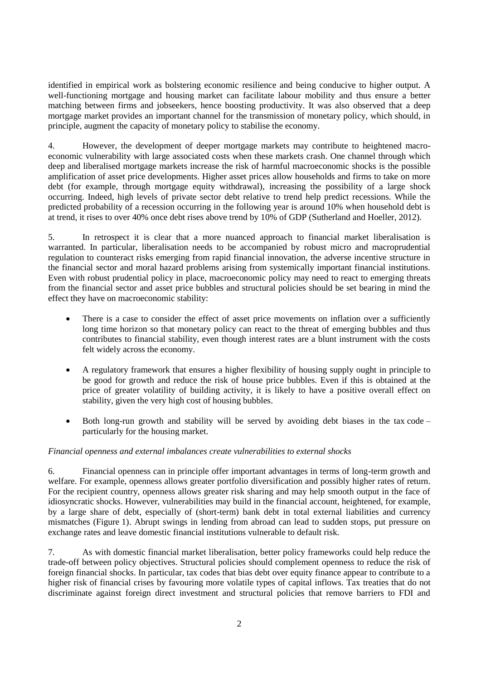identified in empirical work as bolstering economic resilience and being conducive to higher output. A well-functioning mortgage and housing market can facilitate labour mobility and thus ensure a better matching between firms and jobseekers, hence boosting productivity. It was also observed that a deep mortgage market provides an important channel for the transmission of monetary policy, which should, in principle, augment the capacity of monetary policy to stabilise the economy.

4. However, the development of deeper mortgage markets may contribute to heightened macroeconomic vulnerability with large associated costs when these markets crash. One channel through which deep and liberalised mortgage markets increase the risk of harmful macroeconomic shocks is the possible amplification of asset price developments. Higher asset prices allow households and firms to take on more debt (for example, through mortgage equity withdrawal), increasing the possibility of a large shock occurring. Indeed, high levels of private sector debt relative to trend help predict recessions. While the predicted probability of a recession occurring in the following year is around 10% when household debt is at trend, it rises to over 40% once debt rises above trend by 10% of GDP (Sutherland and Hoeller, 2012).

5. In retrospect it is clear that a more nuanced approach to financial market liberalisation is warranted. In particular, liberalisation needs to be accompanied by robust micro and macroprudential regulation to counteract risks emerging from rapid financial innovation, the adverse incentive structure in the financial sector and moral hazard problems arising from systemically important financial institutions. Even with robust prudential policy in place, macroeconomic policy may need to react to emerging threats from the financial sector and asset price bubbles and structural policies should be set bearing in mind the effect they have on macroeconomic stability:

- There is a case to consider the effect of asset price movements on inflation over a sufficiently long time horizon so that monetary policy can react to the threat of emerging bubbles and thus contributes to financial stability, even though interest rates are a blunt instrument with the costs felt widely across the economy.
- A regulatory framework that ensures a higher flexibility of housing supply ought in principle to be good for growth and reduce the risk of house price bubbles. Even if this is obtained at the price of greater volatility of building activity, it is likely to have a positive overall effect on stability, given the very high cost of housing bubbles.
- $\bullet$  Both long-run growth and stability will be served by avoiding debt biases in the tax code particularly for the housing market.

#### *Financial openness and external imbalances create vulnerabilities to external shocks*

6. Financial openness can in principle offer important advantages in terms of long-term growth and welfare. For example, openness allows greater portfolio diversification and possibly higher rates of return. For the recipient country, openness allows greater risk sharing and may help smooth output in the face of idiosyncratic shocks. However, vulnerabilities may build in the financial account, heightened, for example, by a large share of debt, especially of (short-term) bank debt in total external liabilities and currency mismatches (Figure 1). Abrupt swings in lending from abroad can lead to sudden stops, put pressure on exchange rates and leave domestic financial institutions vulnerable to default risk.

7. As with domestic financial market liberalisation, better policy frameworks could help reduce the trade-off between policy objectives. Structural policies should complement openness to reduce the risk of foreign financial shocks. In particular, tax codes that bias debt over equity finance appear to contribute to a higher risk of financial crises by favouring more volatile types of capital inflows. Tax treaties that do not discriminate against foreign direct investment and structural policies that remove barriers to FDI and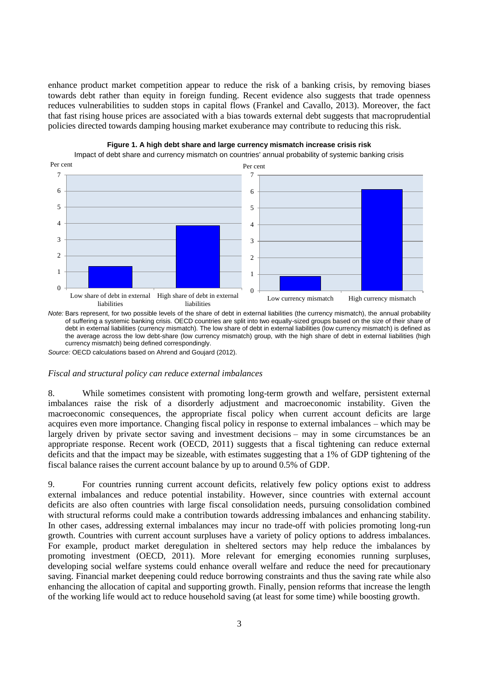enhance product market competition appear to reduce the risk of a banking crisis, by removing biases towards debt rather than equity in foreign funding. Recent evidence also suggests that trade openness reduces vulnerabilities to sudden stops in capital flows (Frankel and Cavallo, 2013). Moreover, the fact that fast rising house prices are associated with a bias towards external debt suggests that macroprudential policies directed towards damping housing market exuberance may contribute to reducing this risk.





Impact of debt share and currency mismatch on countries' annual probability of systemic banking crisis

*Note:* Bars represent, for two possible levels of the share of debt in external liabilities (the currency mismatch), the annual probability of suffering a systemic banking crisis. OECD countries are split into two equally-sized groups based on the size of their share of debt in external liabilities (currency mismatch). The low share of debt in external liabilities (low currency mismatch) is defined as the average across the low debt-share (low currency mismatch) group, with the high share of debt in external liabilities (high currency mismatch) being defined correspondingly.

*Source:* OECD calculations based on Ahrend and Goujard (2012).

*Fiscal and structural policy can reduce external imbalances*

8. While sometimes consistent with promoting long-term growth and welfare, persistent external imbalances raise the risk of a disorderly adjustment and macroeconomic instability. Given the macroeconomic consequences, the appropriate fiscal policy when current account deficits are large acquires even more importance. Changing fiscal policy in response to external imbalances – which may be largely driven by private sector saving and investment decisions – may in some circumstances be an appropriate response. Recent work (OECD, 2011) suggests that a fiscal tightening can reduce external deficits and that the impact may be sizeable, with estimates suggesting that a 1% of GDP tightening of the fiscal balance raises the current account balance by up to around 0.5% of GDP.

9. For countries running current account deficits, relatively few policy options exist to address external imbalances and reduce potential instability. However, since countries with external account deficits are also often countries with large fiscal consolidation needs, pursuing consolidation combined with structural reforms could make a contribution towards addressing imbalances and enhancing stability. In other cases, addressing external imbalances may incur no trade-off with policies promoting long-run growth. Countries with current account surpluses have a variety of policy options to address imbalances. For example, product market deregulation in sheltered sectors may help reduce the imbalances by promoting investment (OECD, 2011). More relevant for emerging economies running surpluses, developing social welfare systems could enhance overall welfare and reduce the need for precautionary saving. Financial market deepening could reduce borrowing constraints and thus the saving rate while also enhancing the allocation of capital and supporting growth. Finally, pension reforms that increase the length of the working life would act to reduce household saving (at least for some time) while boosting growth.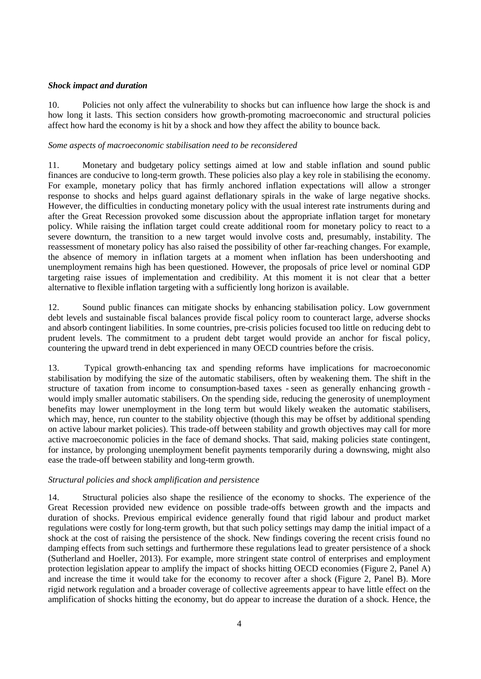#### *Shock impact and duration*

10. Policies not only affect the vulnerability to shocks but can influence how large the shock is and how long it lasts. This section considers how growth-promoting macroeconomic and structural policies affect how hard the economy is hit by a shock and how they affect the ability to bounce back.

#### *Some aspects of macroeconomic stabilisation need to be reconsidered*

11. Monetary and budgetary policy settings aimed at low and stable inflation and sound public finances are conducive to long-term growth. These policies also play a key role in stabilising the economy. For example, monetary policy that has firmly anchored inflation expectations will allow a stronger response to shocks and helps guard against deflationary spirals in the wake of large negative shocks. However, the difficulties in conducting monetary policy with the usual interest rate instruments during and after the Great Recession provoked some discussion about the appropriate inflation target for monetary policy. While raising the inflation target could create additional room for monetary policy to react to a severe downturn, the transition to a new target would involve costs and, presumably, instability. The reassessment of monetary policy has also raised the possibility of other far-reaching changes. For example, the absence of memory in inflation targets at a moment when inflation has been undershooting and unemployment remains high has been questioned. However, the proposals of price level or nominal GDP targeting raise issues of implementation and credibility. At this moment it is not clear that a better alternative to flexible inflation targeting with a sufficiently long horizon is available.

12. Sound public finances can mitigate shocks by enhancing stabilisation policy. Low government debt levels and sustainable fiscal balances provide fiscal policy room to counteract large, adverse shocks and absorb contingent liabilities. In some countries, pre-crisis policies focused too little on reducing debt to prudent levels. The commitment to a prudent debt target would provide an anchor for fiscal policy, countering the upward trend in debt experienced in many OECD countries before the crisis.

13. Typical growth-enhancing tax and spending reforms have implications for macroeconomic stabilisation by modifying the size of the automatic stabilisers, often by weakening them. The shift in the structure of taxation from income to consumption-based taxes - seen as generally enhancing growth would imply smaller automatic stabilisers. On the spending side, reducing the generosity of unemployment benefits may lower unemployment in the long term but would likely weaken the automatic stabilisers, which may, hence, run counter to the stability objective (though this may be offset by additional spending on active labour market policies). This trade-off between stability and growth objectives may call for more active macroeconomic policies in the face of demand shocks. That said, making policies state contingent, for instance, by prolonging unemployment benefit payments temporarily during a downswing, might also ease the trade-off between stability and long-term growth.

#### *Structural policies and shock amplification and persistence*

14. Structural policies also shape the resilience of the economy to shocks. The experience of the Great Recession provided new evidence on possible trade-offs between growth and the impacts and duration of shocks. Previous empirical evidence generally found that rigid labour and product market regulations were costly for long-term growth, but that such policy settings may damp the initial impact of a shock at the cost of raising the persistence of the shock. New findings covering the recent crisis found no damping effects from such settings and furthermore these regulations lead to greater persistence of a shock (Sutherland and Hoeller, 2013). For example, more stringent state control of enterprises and employment protection legislation appear to amplify the impact of shocks hitting OECD economies (Figure 2, Panel A) and increase the time it would take for the economy to recover after a shock (Figure 2, Panel B). More rigid network regulation and a broader coverage of collective agreements appear to have little effect on the amplification of shocks hitting the economy, but do appear to increase the duration of a shock. Hence, the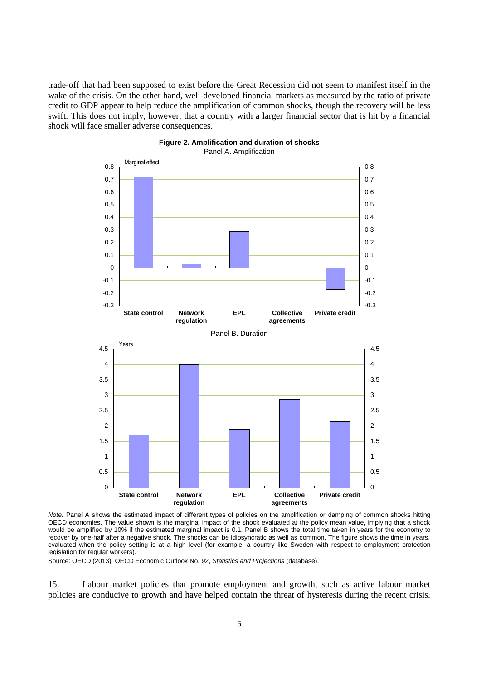trade-off that had been supposed to exist before the Great Recession did not seem to manifest itself in the wake of the crisis. On the other hand, well-developed financial markets as measured by the ratio of private credit to GDP appear to help reduce the amplification of common shocks, though the recovery will be less swift. This does not imply, however, that a country with a larger financial sector that is hit by a financial shock will face smaller adverse consequences.



#### **Figure 2. Amplification and duration of shocks**  Panel A. Amplification

*Note:* Panel A shows the estimated impact of different types of policies on the amplification or damping of common shocks hitting OECD economies. The value shown is the marginal impact of the shock evaluated at the policy mean value, implying that a shock would be amplified by 10% if the estimated marginal impact is 0.1. Panel B shows the total time taken in years for the economy to recover by one-half after a negative shock. The shocks can be idiosyncratic as well as common. The figure shows the time in years, evaluated when the policy setting is at a high level (for example, a country like Sweden with respect to employment protection legislation for regular workers).

Source: OECD (2013), OECD Economic Outlook No. 92, *Statistics and Projections* (database).

15. Labour market policies that promote employment and growth, such as active labour market policies are conducive to growth and have helped contain the threat of hysteresis during the recent crisis.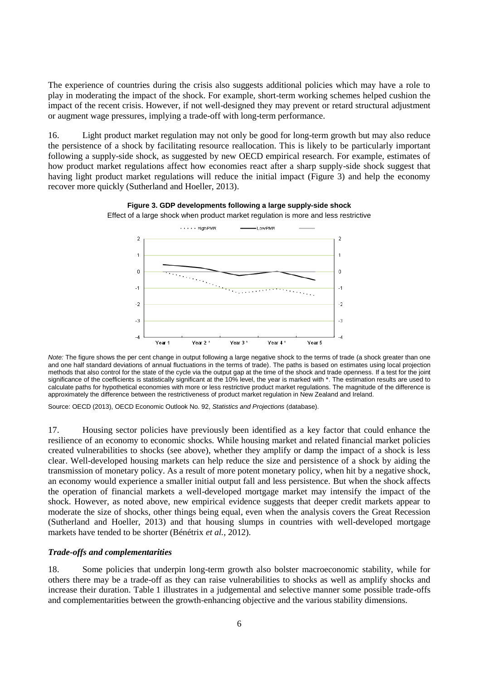The experience of countries during the crisis also suggests additional policies which may have a role to play in moderating the impact of the shock. For example, short-term working schemes helped cushion the impact of the recent crisis. However, if not well-designed they may prevent or retard structural adjustment or augment wage pressures, implying a trade-off with long-term performance.

16. Light product market regulation may not only be good for long-term growth but may also reduce the persistence of a shock by facilitating resource reallocation. This is likely to be particularly important following a supply-side shock, as suggested by new OECD empirical research. For example, estimates of how product market regulations affect how economies react after a sharp supply-side shock suggest that having light product market regulations will reduce the initial impact (Figure 3) and help the economy recover more quickly (Sutherland and Hoeller, 2013).



**Figure 3. GDP developments following a large supply-side shock** Effect of a large shock when product market regulation is more and less restrictive

Source: OECD (2013), OECD Economic Outlook No. 92, *Statistics and Projections* (database).

17. Housing sector policies have previously been identified as a key factor that could enhance the resilience of an economy to economic shocks. While housing market and related financial market policies created vulnerabilities to shocks (see above), whether they amplify or damp the impact of a shock is less clear. Well-developed housing markets can help reduce the size and persistence of a shock by aiding the transmission of monetary policy. As a result of more potent monetary policy, when hit by a negative shock, an economy would experience a smaller initial output fall and less persistence. But when the shock affects the operation of financial markets a well-developed mortgage market may intensify the impact of the shock. However, as noted above, new empirical evidence suggests that deeper credit markets appear to moderate the size of shocks, other things being equal, even when the analysis covers the Great Recession (Sutherland and Hoeller, 2013) and that housing slumps in countries with well-developed mortgage markets have tended to be shorter (Bénétrix *et al.*, 2012).

#### *Trade-offs and complementarities*

18. Some policies that underpin long-term growth also bolster macroeconomic stability, while for others there may be a trade-off as they can raise vulnerabilities to shocks as well as amplify shocks and increase their duration. Table 1 illustrates in a judgemental and selective manner some possible trade-offs and complementarities between the growth-enhancing objective and the various stability dimensions.

*Note:* The figure shows the per cent change in output following a large negative shock to the terms of trade (a shock greater than one and one half standard deviations of annual fluctuations in the terms of trade). The paths is based on estimates using local projection methods that also control for the state of the cycle via the output gap at the time of the shock and trade openness. If a test for the joint significance of the coefficients is statistically significant at the 10% level, the year is marked with \*. The estimation results are used to calculate paths for hypothetical economies with more or less restrictive product market regulations. The magnitude of the difference is approximately the difference between the restrictiveness of product market regulation in New Zealand and Ireland.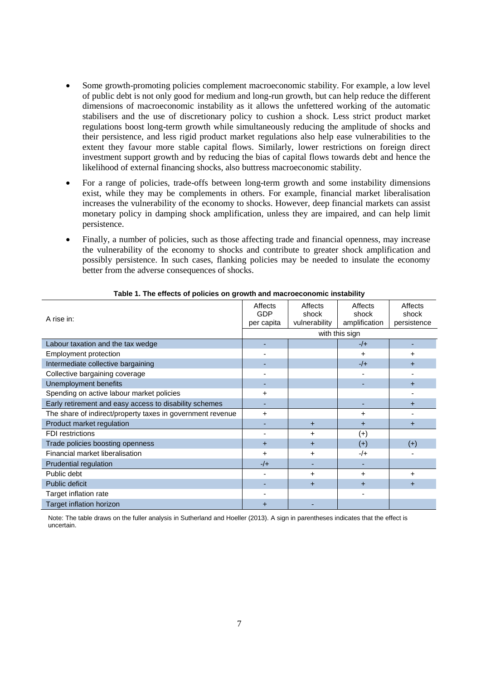- Some growth-promoting policies complement macroeconomic stability. For example, a low level of public debt is not only good for medium and long-run growth, but can help reduce the different dimensions of macroeconomic instability as it allows the unfettered working of the automatic stabilisers and the use of discretionary policy to cushion a shock. Less strict product market regulations boost long-term growth while simultaneously reducing the amplitude of shocks and their persistence, and less rigid product market regulations also help ease vulnerabilities to the extent they favour more stable capital flows. Similarly, lower restrictions on foreign direct investment support growth and by reducing the bias of capital flows towards debt and hence the likelihood of external financing shocks, also buttress macroeconomic stability.
- For a range of policies, trade-offs between long-term growth and some instability dimensions exist, while they may be complements in others. For example, financial market liberalisation increases the vulnerability of the economy to shocks. However, deep financial markets can assist monetary policy in damping shock amplification, unless they are impaired, and can help limit persistence.
- Finally, a number of policies, such as those affecting trade and financial openness, may increase the vulnerability of the economy to shocks and contribute to greater shock amplification and possibly persistence. In such cases, flanking policies may be needed to insulate the economy better from the adverse consequences of shocks.

| A rise in:                                                 | Affects<br><b>GDP</b><br>per capita | Affects<br>shock<br>vulnerability | Affects<br>shock<br>amplification | Affects<br>shock<br>persistence |
|------------------------------------------------------------|-------------------------------------|-----------------------------------|-----------------------------------|---------------------------------|
|                                                            | with this sign                      |                                   |                                   |                                 |
| Labour taxation and the tax wedge                          |                                     |                                   | $-/-$                             |                                 |
| Employment protection                                      |                                     |                                   | $\ddot{}$                         | +                               |
| Intermediate collective bargaining                         |                                     |                                   | $-/-$                             | $\pm$                           |
| Collective bargaining coverage                             |                                     |                                   |                                   |                                 |
| Unemployment benefits                                      |                                     |                                   |                                   | $\pm$                           |
| Spending on active labour market policies                  | +                                   |                                   |                                   |                                 |
| Early retirement and easy access to disability schemes     |                                     |                                   |                                   | $\pm$                           |
| The share of indirect/property taxes in government revenue | $\ddot{}$                           |                                   | $\div$                            |                                 |
| Product market regulation                                  |                                     | $\ddot{}$                         | $\ddot{}$                         | +                               |
| <b>FDI</b> restrictions                                    |                                     | ٠                                 | $^{(+)}$                          |                                 |
| Trade policies boosting openness                           | $\ddot{}$                           | $\ddot{}$                         | $(+)$                             | $(+)$                           |
| Financial market liberalisation                            | +                                   | ٠                                 | $-/+$                             |                                 |
| Prudential regulation                                      | $-/-$                               |                                   |                                   |                                 |
| Public debt                                                |                                     | ٠                                 | $\ddot{}$                         | +                               |
| Public deficit                                             |                                     | $\ddot{}$                         | $\ddot{}$                         | $\pm$                           |
| Target inflation rate                                      |                                     |                                   |                                   |                                 |
| Target inflation horizon                                   | +                                   |                                   |                                   |                                 |

**Table 1. The effects of policies on growth and macroeconomic instability**

Note: The table draws on the fuller analysis in Sutherland and Hoeller (2013). A sign in parentheses indicates that the effect is uncertain.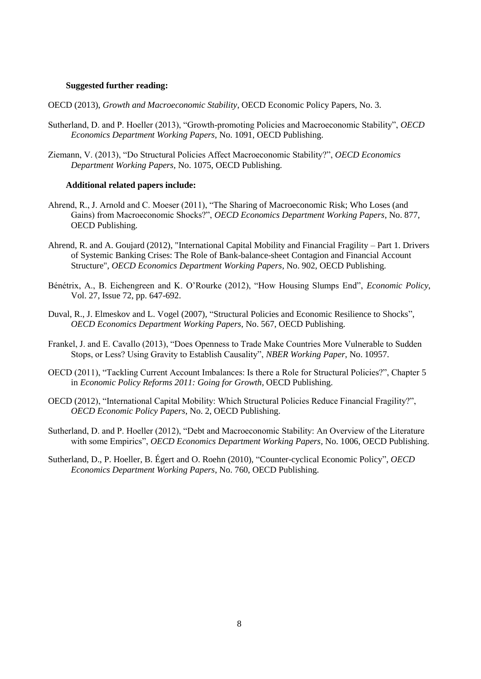#### **Suggested further reading:**

OECD (2013), *Growth and Macroeconomic Stability*, OECD Economic Policy Papers, No. 3.

- Sutherland, D. and P. Hoeller (2013), "Growth-promoting Policies and Macroeconomic Stability", *OECD Economics Department Working Papers,* No. 1091, OECD Publishing.
- Ziemann, V. (2013), "Do Structural Policies Affect Macroeconomic Stability?", *OECD Economics Department Working Papers,* No. 1075, OECD Publishing.

#### **Additional related papers include:**

- Ahrend, R., J. Arnold and C. Moeser (2011), "The Sharing of Macroeconomic Risk; Who Loses (and Gains) from Macroeconomic Shocks?", *OECD Economics Department Working Papers*, No. 877, OECD Publishing.
- Ahrend, R. and A. Goujard (2012), "International Capital Mobility and Financial Fragility Part 1. Drivers of Systemic Banking Crises: The Role of Bank-balance-sheet Contagion and Financial Account Structure", *OECD Economics Department Working Papers*, No. 902, OECD Publishing.
- Bénétrix, A., B. Eichengreen and K. O'Rourke (2012), "How Housing Slumps End", *Economic Policy*, Vol. 27, Issue 72, pp. 647-692.
- Duval, R., J. Elmeskov and L. Vogel (2007), "Structural Policies and Economic Resilience to Shocks", *OECD Economics Department Working Papers*, No. 567, OECD Publishing.
- Frankel, J. and E. Cavallo (2013), "Does Openness to Trade Make Countries More Vulnerable to Sudden Stops, or Less? Using Gravity to Establish Causality", *NBER Working Paper*, No. 10957.
- OECD (2011), "Tackling Current Account Imbalances: Is there a Role for Structural Policies?", Chapter 5 in *Economic Policy Reforms 2011: Going for Growth*, OECD Publishing.
- OECD (2012), "International Capital Mobility: Which Structural Policies Reduce Financial Fragility?", *OECD Economic Policy Papers*, No. 2, OECD Publishing.
- Sutherland, D. and P. Hoeller (2012), "Debt and Macroeconomic Stability: An Overview of the Literature with some Empirics", *OECD Economics Department Working Papers*, No. 1006, OECD Publishing.
- Sutherland, D., P. Hoeller, B. Égert and O. Roehn (2010), "Counter-cyclical Economic Policy", *OECD Economics Department Working Papers*, No. 760, OECD Publishing.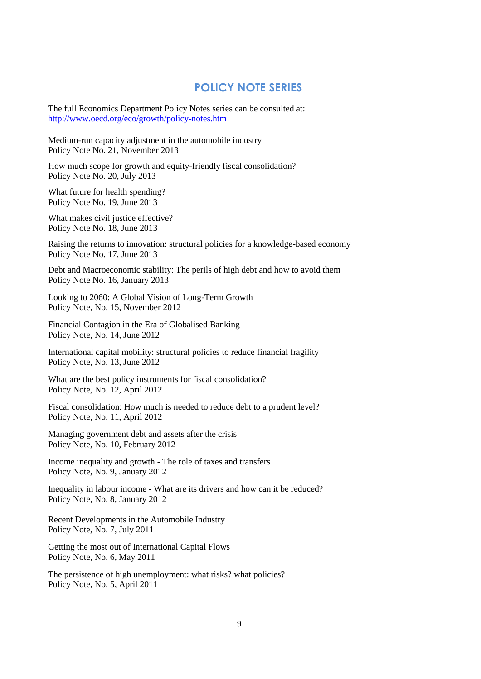### **POLICY NOTE SERIES**

The full Economics Department Policy Notes series can be consulted at: <http://www.oecd.org/eco/growth/policy-notes.htm>

Medium-run capacity adjustment in the automobile industry Policy Note No. 21, November 2013

How much scope for growth and equity-friendly fiscal consolidation? Policy Note No. 20, July 2013

What future for health spending? Policy Note No. 19, June 2013

What makes civil justice effective? Policy Note No. 18, June 2013

Raising the returns to innovation: structural policies for a knowledge-based economy Policy Note No. 17, June 2013

Debt and Macroeconomic stability: The perils of high debt and how to avoid them Policy Note No. 16, January 2013

Looking to 2060: A Global Vision of Long-Term Growth Policy Note, No. 15, November 2012

Financial Contagion in the Era of Globalised Banking Policy Note, No. 14, June 2012

International capital mobility: structural policies to reduce financial fragility Policy Note, No. 13, June 2012

What are the best policy instruments for fiscal consolidation? Policy Note, No. 12, April 2012

Fiscal consolidation: How much is needed to reduce debt to a prudent level? Policy Note, No. 11, April 2012

Managing government debt and assets after the crisis Policy Note, No. 10, February 2012

Income inequality and growth - The role of taxes and transfers Policy Note, No. 9, January 2012

Inequality in labour income - What are its drivers and how can it be reduced? Policy Note, No. 8, January 2012

Recent Developments in the Automobile Industry Policy Note, No. 7, July 2011

Getting the most out of International Capital Flows Policy Note, No. 6, May 2011

The persistence of high unemployment: what risks? what policies? Policy Note, No. 5, April 2011